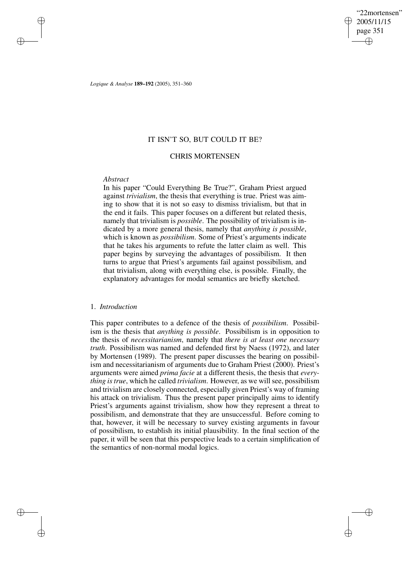"22mortensen" 2005/11/15 page 351 ✐ ✐

✐

✐

*Logique & Analyse* **189–192** (2005), 351–360

# IT ISN'T SO, BUT COULD IT BE?

# CHRIS MORTENSEN

# *Abstract*

✐

✐

✐

✐

In his paper "Could Everything Be True?", Graham Priest argued against *trivialism*, the thesis that everything is true. Priest was aiming to show that it is not so easy to dismiss trivialism, but that in the end it fails. This paper focuses on a different but related thesis, namely that trivialism is *possible*. The possibility of trivialism is indicated by a more general thesis, namely that *anything is possible*, which is known as *possibilism*. Some of Priest's arguments indicate that he takes his arguments to refute the latter claim as well. This paper begins by surveying the advantages of possibilism. It then turns to argue that Priest's arguments fail against possibilism, and that trivialism, along with everything else, is possible. Finally, the explanatory advantages for modal semantics are briefly sketched.

# 1. *Introduction*

This paper contributes to a defence of the thesis of *possibilism*. Possibilism is the thesis that *anything is possible*. Possibilism is in opposition to the thesis of *necessitarianism*, namely that *there is at least one necessary truth*. Possibilism was named and defended first by Naess (1972), and later by Mortensen (1989). The present paper discusses the bearing on possibilism and necessitarianism of arguments due to Graham Priest (2000). Priest's arguments were aimed *prima facie* at a different thesis, the thesis that *everything istrue*, which he called *trivialism*. However, as we will see, possibilism and trivialism are closely connected, especially given Priest's way of framing his attack on trivialism. Thus the present paper principally aims to identify Priest's arguments against trivialism, show how they represent a threat to possibilism, and demonstrate that they are unsuccessful. Before coming to that, however, it will be necessary to survey existing arguments in favour of possibilism, to establish its initial plausibility. In the final section of the paper, it will be seen that this perspective leads to a certain simplification of the semantics of non-normal modal logics.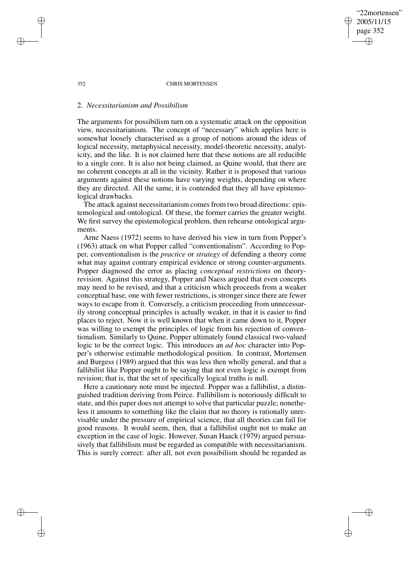352 CHRIS MORTENSEN

"22mortensen" 2005/11/15 page 352

✐

✐

✐

✐

# 2. *Necessitarianism and Possibilism*

The arguments for possibilism turn on a systematic attack on the opposition view, necessitarianism. The concept of "necessary" which applies here is somewhat loosely characterised as a group of notions around the ideas of logical necessity, metaphysical necessity, model-theoretic necessity, analyticity, and the like. It is not claimed here that these notions are all reducible to a single core. It is also not being claimed, as Quine would, that there are no coherent concepts at all in the vicinity. Rather it is proposed that various arguments against these notions have varying weights, depending on where they are directed. All the same, it is contended that they all have epistemological drawbacks.

The attack against necessitarianism comes from two broad directions: epistemological and ontological. Of these, the former carries the greater weight. We first survey the epistemological problem, then rehearse ontological arguments.

Arne Naess (1972) seems to have derived his view in turn from Popper's (1963) attack on what Popper called "conventionalism". According to Popper, conventionalism is the *practice* or *strategy* of defending a theory come what may against contrary empirical evidence or strong counter-arguments. Popper diagnosed the error as placing *conceptual restrictions* on theoryrevision. Against this strategy, Popper and Naess argued that even concepts may need to be revised, and that a criticism which proceeds from a weaker conceptual base, one with fewer restrictions, is stronger since there are fewer ways to escape from it. Conversely, a criticism proceeding from unnecessarily strong conceptual principles is actually weaker, in that it is easier to find places to reject. Now it is well known that when it came down to it, Popper was willing to exempt the principles of logic from his rejection of conventionalism. Similarly to Quine, Popper ultimately found classical two-valued logic to be the correct logic. This introduces an *ad hoc* character into Popper's otherwise estimable methodological position. In contrast, Mortensen and Burgess (1989) argued that this was less then wholly general, and that a fallibilist like Popper ought to be saying that not even logic is exempt from revision; that is, that the set of specifically logical truths is null.

Here a cautionary note must be injected. Popper was a fallibilist, a distinguished tradition deriving from Peirce. Fallibilism is notoriously difficult to state, and this paper does not attempt to solve that particular puzzle; nonetheless it amounts to something like the claim that no theory is rationally unrevisable under the pressure of empirical science, that all theories can fail for good reasons. It would seem, then, that a fallibilist ought not to make an exception in the case of logic. However, Susan Haack (1979) argued persuasively that fallibilism must be regarded as compatible with necessitarianism. This is surely correct: after all, not even possibilism should be regarded as

✐

✐

✐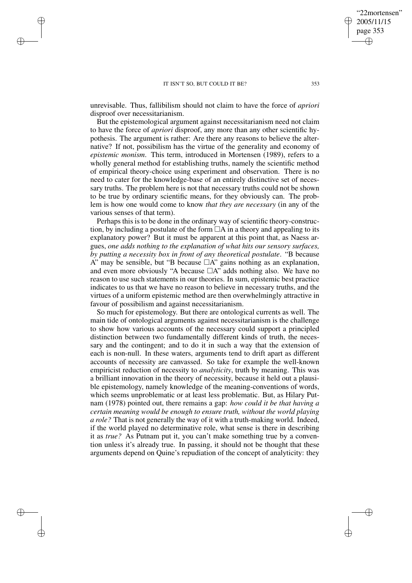✐

✐

✐

✐

unrevisable. Thus, fallibilism should not claim to have the force of *apriori* disproof over necessitarianism.

But the epistemological argument against necessitarianism need not claim to have the force of *apriori* disproof, any more than any other scientific hypothesis. The argument is rather: Are there any reasons to believe the alternative? If not, possibilism has the virtue of the generality and economy of *epistemic monism*. This term, introduced in Mortensen (1989), refers to a wholly general method for establishing truths, namely the scientific method of empirical theory-choice using experiment and observation. There is no need to cater for the knowledge-base of an entirely distinctive set of necessary truths. The problem here is not that necessary truths could not be shown to be true by ordinary scientific means, for they obviously can. The problem is how one would come to know *that they are necessary* (in any of the various senses of that term).

Perhaps this is to be done in the ordinary way of scientific theory-construction, by including a postulate of the form  $\Box A$  in a theory and appealing to its explanatory power? But it must be apparent at this point that, as Naess argues, *one adds nothing to the explanation of what hits our sensory surfaces, by putting a necessity box in front of any theoretical postulate*. "B because A" may be sensible, but "B because  $\Box A$ " gains nothing as an explanation, and even more obviously "A because  $\Box A$ " adds nothing also. We have no reason to use such statements in our theories. In sum, epistemic best practice indicates to us that we have no reason to believe in necessary truths, and the virtues of a uniform epistemic method are then overwhelmingly attractive in favour of possibilism and against necessitarianism.

So much for epistemology. But there are ontological currents as well. The main tide of ontological arguments against necessitarianism is the challenge to show how various accounts of the necessary could support a principled distinction between two fundamentally different kinds of truth, the necessary and the contingent; and to do it in such a way that the extension of each is non-null. In these waters, arguments tend to drift apart as different accounts of necessity are canvassed. So take for example the well-known empiricist reduction of necessity to *analyticity*, truth by meaning. This was a brilliant innovation in the theory of necessity, because it held out a plausible epistemology, namely knowledge of the meaning-conventions of words, which seems unproblematic or at least less problematic. But, as Hilary Putnam (1978) pointed out, there remains a gap: *how could it be that having a certain meaning would be enough to ensure truth, without the world playing a role?* That is not generally the way of it with a truth-making world. Indeed, if the world played no determinative role, what sense is there in describing it as *true?* As Putnam put it, you can't make something true by a convention unless it's already true. In passing, it should not be thought that these arguments depend on Quine's repudiation of the concept of analyticity: they

"22mortensen" 2005/11/15 page 353

✐

✐

✐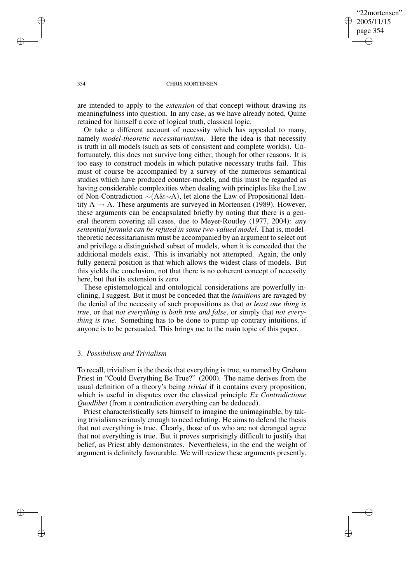## "22mortensen" 2005/11/15 page 354 ✐ ✐

✐

✐

#### 354 CHRIS MORTENSEN

are intended to apply to the *extension* of that concept without drawing its meaningfulness into question. In any case, as we have already noted, Quine retained for himself a core of logical truth, classical logic.

Or take a different account of necessity which has appealed to many, namely *model-theoretic necessitarianism*. Here the idea is that necessity is truth in all models (such as sets of consistent and complete worlds). Unfortunately, this does not survive long either, though for other reasons. It is too easy to construct models in which putative necessary truths fail. This must of course be accompanied by a survey of the numerous semantical studies which have produced counter-models, and this must be regarded as having considerable complexities when dealing with principles like the Law of Non-Contradiction ∼(A&∼A), let alone the Law of Propositional Identity  $A \rightarrow A$ . These arguments are surveyed in Mortensen (1989). However, these arguments can be encapsulated briefly by noting that there is a general theorem covering all cases, due to Meyer-Routley (1977, 2004): *any sentential formula can be refuted in some two-valued model*. That is, modeltheoretic necessitarianism must be accompanied by an argument to select out and privilege a distinguished subset of models, when it is conceded that the additional models exist. This is invariably not attempted. Again, the only fully general position is that which allows the widest class of models. But this yields the conclusion, not that there is no coherent concept of necessity here, but that its extension is zero.

These epistemological and ontological considerations are powerfully inclining, I suggest. But it must be conceded that the *intuitions* are ravaged by the denial of the necessity of such propositions as that *at least one thing is true*, or that *not everything is both true and false*, or simply that *not everything is true*. Something has to be done to pump up contrary intuitions, if anyone is to be persuaded. This brings me to the main topic of this paper.

# 3. *Possibilism and Trivialism*

To recall, trivialism is the thesis that everything is true, so named by Graham Priest in "Could Everything Be True?" (2000). The name derives from the usual definition of a theory's being *trivial* if it contains every proposition, which is useful in disputes over the classical principle *Ex Contradictione Quodlibet* (from a contradiction everything can be deduced).

Priest characteristically sets himself to imagine the unimaginable, by taking trivialism seriously enough to need refuting. He aims to defend the thesis that not everything is true. Clearly, those of us who are not deranged agree that not everything is true. But it proves surprisingly difficult to justify that belief, as Priest ably demonstrates. Nevertheless, in the end the weight of argument is definitely favourable. We will review these arguments presently.

✐

✐

✐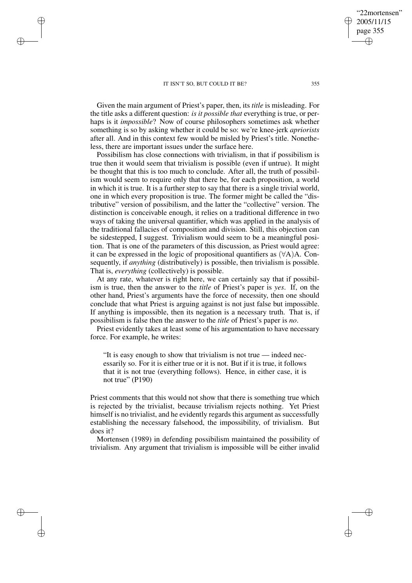✐

✐

✐

✐

Given the main argument of Priest's paper, then, its *title* is misleading. For the title asks a different question: *is it possible that* everything is true, or perhaps is it *impossible*? Now of course philosophers sometimes ask whether something is so by asking whether it could be so: we're knee-jerk *apriorists* after all. And in this context few would be misled by Priest's title. Nonetheless, there are important issues under the surface here.

Possibilism has close connections with trivialism, in that if possibilism is true then it would seem that trivialism is possible (even if untrue). It might be thought that this is too much to conclude. After all, the truth of possibilism would seem to require only that there be, for each proposition, a world in which it is true. It is a further step to say that there is a single trivial world, one in which every proposition is true. The former might be called the "distributive" version of possibilism, and the latter the "collective" version. The distinction is conceivable enough, it relies on a traditional difference in two ways of taking the universal quantifier, which was applied in the analysis of the traditional fallacies of composition and division. Still, this objection can be sidestepped, I suggest. Trivialism would seem to be a meaningful position. That is one of the parameters of this discussion, as Priest would agree: it can be expressed in the logic of propositional quantifiers as  $(\forall A)A$ . Consequently, if *anything* (distributively) is possible, then trivialism is possible. That is, *everything* (collectively) is possible.

At any rate, whatever is right here, we can certainly say that if possibilism is true, then the answer to the *title* of Priest's paper is *yes*. If, on the other hand, Priest's arguments have the force of necessity, then one should conclude that what Priest is arguing against is not just false but impossible. If anything is impossible, then its negation is a necessary truth. That is, if possibilism is false then the answer to the *title* of Priest's paper is *no*.

Priest evidently takes at least some of his argumentation to have necessary force. For example, he writes:

"It is easy enough to show that trivialism is not true — indeed necessarily so. For it is either true or it is not. But if it is true, it follows that it is not true (everything follows). Hence, in either case, it is not true" (P190)

Priest comments that this would not show that there is something true which is rejected by the trivialist, because trivialism rejects nothing. Yet Priest himself is no trivialist, and he evidently regards this argument as successfully establishing the necessary falsehood, the impossibility, of trivialism. But does it?

Mortensen (1989) in defending possibilism maintained the possibility of trivialism. Any argument that trivialism is impossible will be either invalid

"22mortensen" 2005/11/15 page 355

✐

✐

✐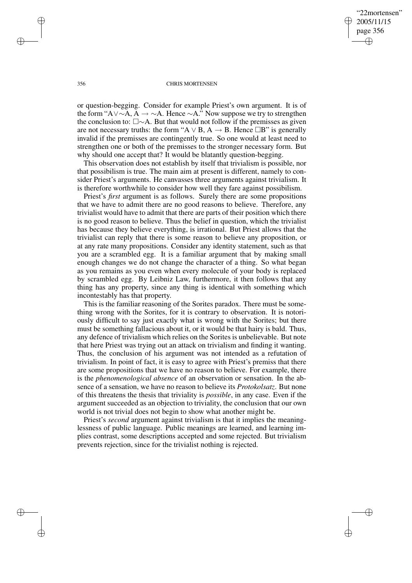✐

✐

#### 356 CHRIS MORTENSEN

or question-begging. Consider for example Priest's own argument. It is of the form "A∨∼A, A  $\rightarrow \sim A$ . Hence  $\sim A$ ." Now suppose we try to strengthen the conclusion to: ∼A. But that would not follow if the premisses as given are not necessary truths: the form "A  $\vee$  B, A  $\rightarrow$  B. Hence  $\Box B$ " is generally invalid if the premisses are contingently true. So one would at least need to strengthen one or both of the premisses to the stronger necessary form. But why should one accept that? It would be blatantly question-begging.

This observation does not establish by itself that trivialism is possible, nor that possibilism is true. The main aim at present is different, namely to consider Priest's arguments. He canvasses three arguments against trivialism. It is therefore worthwhile to consider how well they fare against possibilism.

Priest's *first* argument is as follows. Surely there are some propositions that we have to admit there are no good reasons to believe. Therefore, any trivialist would have to admit that there are parts of their position which there is no good reason to believe. Thus the belief in question, which the trivialist has because they believe everything, is irrational. But Priest allows that the trivialist can reply that there is some reason to believe any proposition, or at any rate many propositions. Consider any identity statement, such as that you are a scrambled egg. It is a familiar argument that by making small enough changes we do not change the character of a thing. So what began as you remains as you even when every molecule of your body is replaced by scrambled egg. By Leibniz Law, furthermore, it then follows that any thing has any property, since any thing is identical with something which incontestably has that property.

This is the familiar reasoning of the Sorites paradox. There must be something wrong with the Sorites, for it is contrary to observation. It is notoriously difficult to say just exactly what is wrong with the Sorites; but there must be something fallacious about it, or it would be that hairy is bald. Thus, any defence of trivialism which relies on the Soritesis unbelievable. But note that here Priest was trying out an attack on trivialism and finding it wanting. Thus, the conclusion of his argument was not intended as a refutation of trivialism. In point of fact, it is easy to agree with Priest's premiss that there are some propositions that we have no reason to believe. For example, there is the *phenomenological absence* of an observation or sensation. In the absence of a sensation, we have no reason to believe its *Protokolsatz*. But none of this threatens the thesis that triviality is *possible*, in any case. Even if the argument succeeded as an objection to triviality, the conclusion that our own world is not trivial does not begin to show what another might be.

Priest's *second* argument against trivialism is that it implies the meaninglessness of public language. Public meanings are learned, and learning implies contrast, some descriptions accepted and some rejected. But trivialism prevents rejection, since for the trivialist nothing is rejected.

✐

✐

✐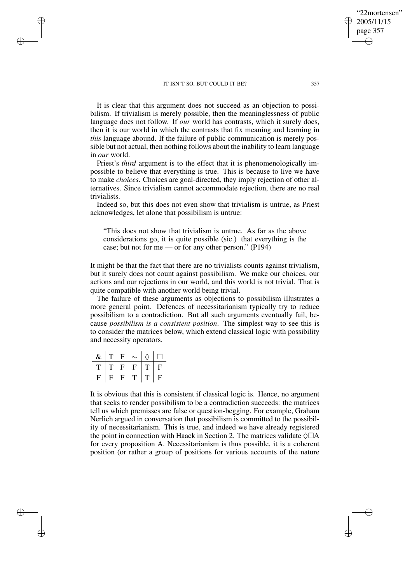It is clear that this argument does not succeed as an objection to possibilism. If trivialism is merely possible, then the meaninglessness of public language does not follow. If *our* world has contrasts, which it surely does, then it is our world in which the contrasts that fix meaning and learning in *this* language abound. If the failure of public communication is merely possible but not actual, then nothing follows about the inability to learn language in *our* world.

Priest's *third* argument is to the effect that it is phenomenologically impossible to believe that everything is true. This is because to live we have to make *choices*. Choices are goal-directed, they imply rejection of other alternatives. Since trivialism cannot accommodate rejection, there are no real trivialists.

Indeed so, but this does not even show that trivialism is untrue, as Priest acknowledges, let alone that possibilism is untrue:

"This does not show that trivialism is untrue. As far as the above considerations go, it is quite possible (sic.) that everything is the case; but not for me — or for any other person." (P194)

It might be that the fact that there are no trivialists counts against trivialism, but it surely does not count against possibilism. We make our choices, our actions and our rejections in our world, and this world is not trivial. That is quite compatible with another world being trivial.

The failure of these arguments as objections to possibilism illustrates a more general point. Defences of necessitarianism typically try to reduce possibilism to a contradiction. But all such arguments eventually fail, because *possibilism is a consistent position*. The simplest way to see this is to consider the matrices below, which extend classical logic with possibility and necessity operators.

| $\&$ | T            | $F_{\perp}$  |             |    |              |
|------|--------------|--------------|-------------|----|--------------|
| T    | $\mathbf{T}$ | $F_{\rm}$    | $\mathbf F$ | T. | F            |
| F    | $\mathbf{F}$ | $\mathbf{F}$ | T           | T  | $\mathbf{F}$ |

✐

✐

✐

✐

It is obvious that this is consistent if classical logic is. Hence, no argument that seeks to render possibilism to be a contradiction succeeds: the matrices tell us which premisses are false or question-begging. For example, Graham Nerlich argued in conversation that possibilism is committed to the possibility of necessitarianism. This is true, and indeed we have already registered the point in connection with Haack in Section 2. The matrices validate  $\Diamond \Box A$ for every proposition A. Necessitarianism is thus possible, it is a coherent position (or rather a group of positions for various accounts of the nature

"22mortensen" 2005/11/15 page 357

✐

✐

✐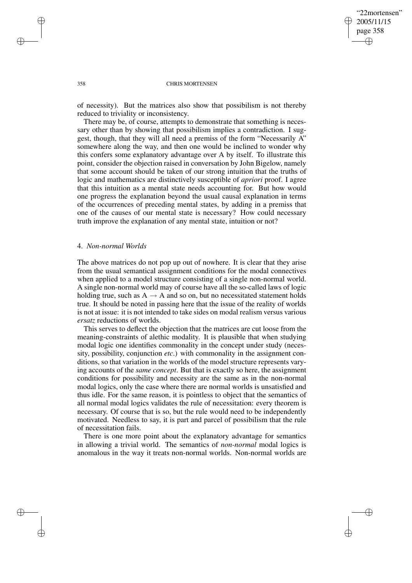✐

✐

#### 358 CHRIS MORTENSEN

of necessity). But the matrices also show that possibilism is not thereby reduced to triviality or inconsistency.

There may be, of course, attempts to demonstrate that something is necessary other than by showing that possibilism implies a contradiction. I suggest, though, that they will all need a premiss of the form "Necessarily A" somewhere along the way, and then one would be inclined to wonder why this confers some explanatory advantage over A by itself. To illustrate this point, consider the objection raised in conversation by John Bigelow, namely that some account should be taken of our strong intuition that the truths of logic and mathematics are distinctively susceptible of *apriori* proof. I agree that this intuition as a mental state needs accounting for. But how would one progress the explanation beyond the usual causal explanation in terms of the occurrences of preceding mental states, by adding in a premiss that one of the causes of our mental state is necessary? How could necessary truth improve the explanation of any mental state, intuition or not?

# 4. *Non-normal Worlds*

The above matrices do not pop up out of nowhere. It is clear that they arise from the usual semantical assignment conditions for the modal connectives when applied to a model structure consisting of a single non-normal world. A single non-normal world may of course have all the so-called laws of logic holding true, such as  $A \rightarrow A$  and so on, but no necessitated statement holds true. It should be noted in passing here that the issue of the reality of worlds is not at issue: it is not intended to take sides on modal realism versus various *ersatz* reductions of worlds.

This serves to deflect the objection that the matrices are cut loose from the meaning-constraints of alethic modality. It is plausible that when studying modal logic one identifies commonality in the concept under study (necessity, possibility, conjunction *etc*.) with commonality in the assignment conditions, so that variation in the worlds of the model structure represents varying accounts of the *same concept*. But that is exactly so here, the assignment conditions for possibility and necessity are the same as in the non-normal modal logics, only the case where there are normal worlds is unsatisfied and thus idle. For the same reason, it is pointless to object that the semantics of all normal modal logics validates the rule of necessitation: every theorem is necessary. Of course that is so, but the rule would need to be independently motivated. Needless to say, it is part and parcel of possibilism that the rule of necessitation fails.

There is one more point about the explanatory advantage for semantics in allowing a trivial world. The semantics of *non-normal* modal logics is anomalous in the way it treats non-normal worlds. Non-normal worlds are

✐

✐

✐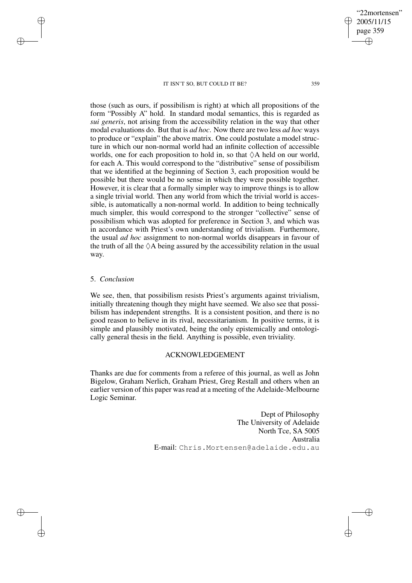those (such as ours, if possibilism is right) at which all propositions of the form "Possibly A" hold. In standard modal semantics, this is regarded as *sui generis*, not arising from the accessibility relation in the way that other modal evaluations do. But that is *ad hoc*. Now there are two less *ad hoc* ways to produce or "explain" the above matrix. One could postulate a model structure in which our non-normal world had an infinite collection of accessible worlds, one for each proposition to hold in, so that  $\Diamond A$  held on our world, for each A. This would correspond to the "distributive" sense of possibilism that we identified at the beginning of Section 3, each proposition would be possible but there would be no sense in which they were possible together. However, it is clear that a formally simpler way to improve things is to allow a single trivial world. Then any world from which the trivial world is accessible, is automatically a non-normal world. In addition to being technically much simpler, this would correspond to the stronger "collective" sense of possibilism which was adopted for preference in Section 3, and which was in accordance with Priest's own understanding of trivialism. Furthermore, the usual *ad hoc* assignment to non-normal worlds disappears in favour of the truth of all the  $\Diamond A$  being assured by the accessibility relation in the usual way.

# 5. *Conclusion*

✐

✐

✐

✐

We see, then, that possibilism resists Priest's arguments against trivialism, initially threatening though they might have seemed. We also see that possibilism has independent strengths. It is a consistent position, and there is no good reason to believe in its rival, necessitarianism. In positive terms, it is simple and plausibly motivated, being the only epistemically and ontologically general thesis in the field. Anything is possible, even triviality.

## ACKNOWLEDGEMENT

Thanks are due for comments from a referee of this journal, as well as John Bigelow, Graham Nerlich, Graham Priest, Greg Restall and others when an earlier version of this paper was read at a meeting of the Adelaide-Melbourne Logic Seminar.

> Dept of Philosophy The University of Adelaide North Tce, SA 5005 Australia E-mail: Chris.Mortensen@adelaide.edu.au

"22mortensen" 2005/11/15 page 359

✐

✐

✐